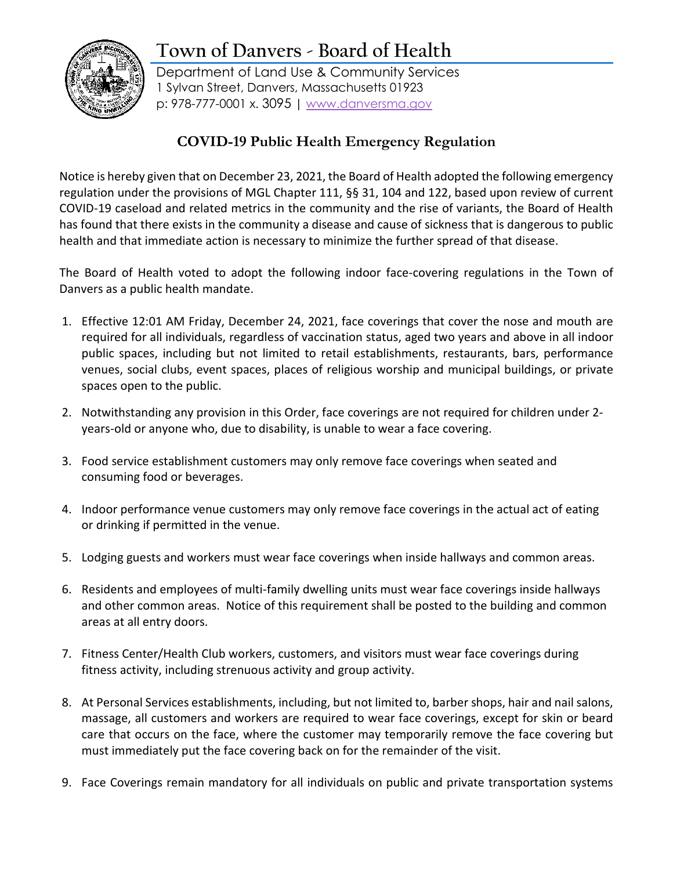## **Town of Danvers - Board of Health**



Department of Land Use & Community Services 1 Sylvan Street, Danvers, Massachusetts 01923 p: 978-777-0001 x. 3095 | [www.danversma.gov](http://www.danversma.gov/)

## **COVID-19 Public Health Emergency Regulation**

Notice is hereby given that on December 23, 2021, the Board of Health adopted the following emergency regulation under the provisions of MGL Chapter 111, §§ 31, 104 and 122, based upon review of current COVID-19 caseload and related metrics in the community and the rise of variants, the Board of Health has found that there exists in the community a disease and cause of sickness that is dangerous to public health and that immediate action is necessary to minimize the further spread of that disease.

The Board of Health voted to adopt the following indoor face-covering regulations in the Town of Danvers as a public health mandate.

- 1. Effective 12:01 AM Friday, December 24, 2021, face coverings that cover the nose and mouth are required for all individuals, regardless of vaccination status, aged two years and above in all indoor public spaces, including but not limited to retail establishments, restaurants, bars, performance venues, social clubs, event spaces, places of religious worship and municipal buildings, or private spaces open to the public.
- 2. Notwithstanding any provision in this Order, face coverings are not required for children under 2 years-old or anyone who, due to disability, is unable to wear a face covering.
- 3. Food service establishment customers may only remove face coverings when seated and consuming food or beverages.
- 4. Indoor performance venue customers may only remove face coverings in the actual act of eating or drinking if permitted in the venue.
- 5. Lodging guests and workers must wear face coverings when inside hallways and common areas.
- 6. Residents and employees of multi-family dwelling units must wear face coverings inside hallways and other common areas. Notice of this requirement shall be posted to the building and common areas at all entry doors.
- 7. Fitness Center/Health Club workers, customers, and visitors must wear face coverings during fitness activity, including strenuous activity and group activity.
- 8. At Personal Services establishments, including, but not limited to, barber shops, hair and nail salons, massage, all customers and workers are required to wear face coverings, except for skin or beard care that occurs on the face, where the customer may temporarily remove the face covering but must immediately put the face covering back on for the remainder of the visit.
- 9. Face Coverings remain mandatory for all individuals on public and private transportation systems